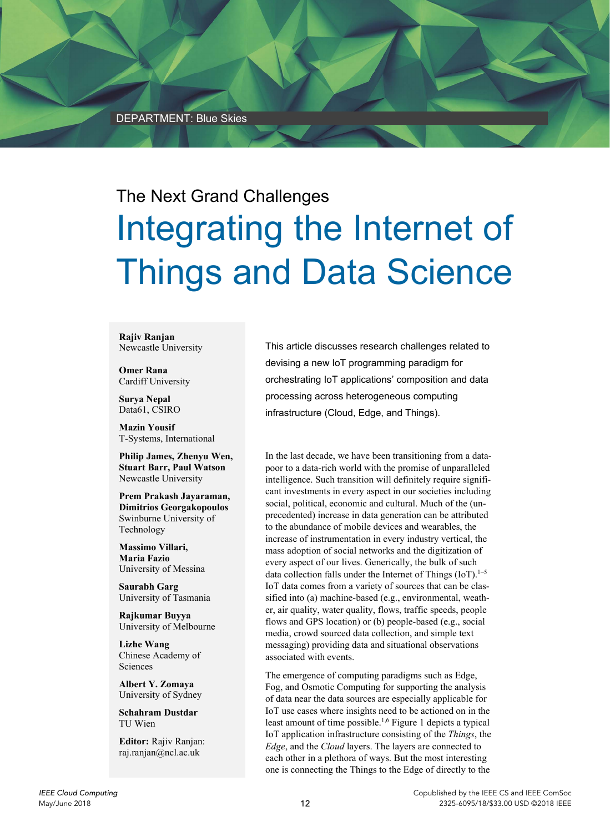DEPARTMENT: Blue Skies

# The Next Grand Challenges Integrating the Internet of Things and Data Science

**Rajiv Ranjan**  Newcastle University

**Omer Rana**  Cardiff University

**Surya Nepal**  Data61, CSIRO

**Mazin Yousif**  T-Systems, International

**Philip James, Zhenyu Wen, Stuart Barr, Paul Watson**  Newcastle University

**Prem Prakash Jayaraman, Dimitrios Georgakopoulos**  Swinburne University of Technology

**Massimo Villari, Maria Fazio**  University of Messina

**Saurabh Garg**  University of Tasmania

**Rajkumar Buyya**  University of Melbourne

**Lizhe Wang**  Chinese Academy of **Sciences** 

**Albert Y. Zomaya**  University of Sydney

**Schahram Dustdar**  TU Wien

**Editor:** Rajiv Ranjan: raj.ranjan@ncl.ac.uk

This article discusses research challenges related to devising a new IoT programming paradigm for orchestrating IoT applications' composition and data processing across heterogeneous computing infrastructure (Cloud, Edge, and Things).

In the last decade, we have been transitioning from a datapoor to a data-rich world with the promise of unparalleled intelligence. Such transition will definitely require significant investments in every aspect in our societies including social, political, economic and cultural. Much of the (unprecedented) increase in data generation can be attributed to the abundance of mobile devices and wearables, the increase of instrumentation in every industry vertical, the mass adoption of social networks and the digitization of every aspect of our lives. Generically, the bulk of such data collection falls under the Internet of Things  $(IoT)$ .<sup>1–5</sup> IoT data comes from a variety of sources that can be classified into (a) machine-based (e.g., environmental, weather, air quality, water quality, flows, traffic speeds, people flows and GPS location) or (b) people-based (e.g., social media, crowd sourced data collection, and simple text messaging) providing data and situational observations associated with events.

The emergence of computing paradigms such as Edge, Fog, and Osmotic Computing for supporting the analysis of data near the data sources are especially applicable for IoT use cases where insights need to be actioned on in the least amount of time possible.1,6 Figure 1 depicts a typical IoT application infrastructure consisting of the *Things*, the *Edge*, and the *Cloud* layers. The layers are connected to each other in a plethora of ways. But the most interesting one is connecting the Things to the Edge of directly to the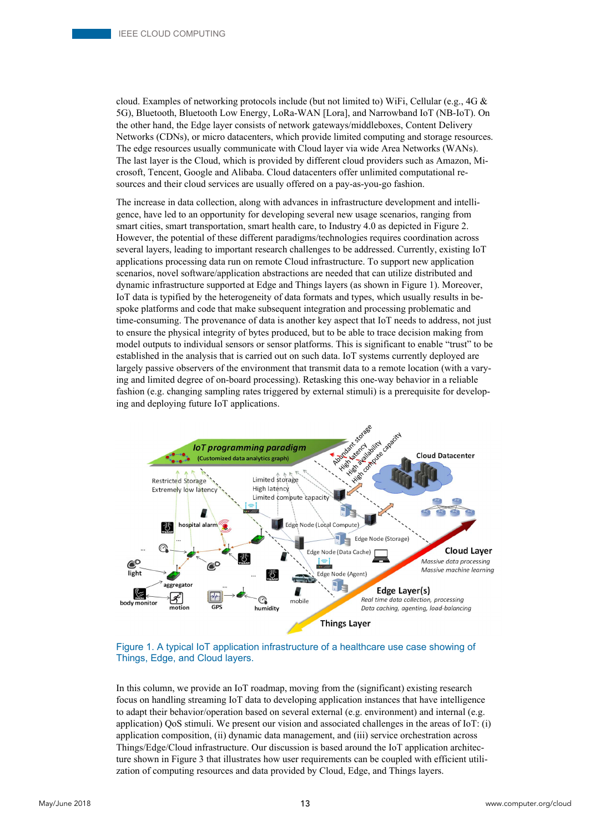cloud. Examples of networking protocols include (but not limited to) WiFi, Cellular (e.g., 4G  $\&$ 5G), Bluetooth, Bluetooth Low Energy, LoRa-WAN [Lora], and Narrowband IoT (NB-IoT). On the other hand, the Edge layer consists of network gateways/middleboxes, Content Delivery Networks (CDNs), or micro datacenters, which provide limited computing and storage resources. The edge resources usually communicate with Cloud layer via wide Area Networks (WANs). The last layer is the Cloud, which is provided by different cloud providers such as Amazon, Microsoft, Tencent, Google and Alibaba. Cloud datacenters offer unlimited computational resources and their cloud services are usually offered on a pay-as-you-go fashion.

The increase in data collection, along with advances in infrastructure development and intelligence, have led to an opportunity for developing several new usage scenarios, ranging from smart cities, smart transportation, smart health care, to Industry 4.0 as depicted in Figure 2. However, the potential of these different paradigms/technologies requires coordination across several layers, leading to important research challenges to be addressed. Currently, existing IoT applications processing data run on remote Cloud infrastructure. To support new application scenarios, novel software/application abstractions are needed that can utilize distributed and dynamic infrastructure supported at Edge and Things layers (as shown in Figure 1). Moreover, IoT data is typified by the heterogeneity of data formats and types, which usually results in bespoke platforms and code that make subsequent integration and processing problematic and time-consuming. The provenance of data is another key aspect that IoT needs to address, not just to ensure the physical integrity of bytes produced, but to be able to trace decision making from model outputs to individual sensors or sensor platforms. This is significant to enable "trust" to be established in the analysis that is carried out on such data. IoT systems currently deployed are largely passive observers of the environment that transmit data to a remote location (with a varying and limited degree of on-board processing). Retasking this one-way behavior in a reliable fashion (e.g. changing sampling rates triggered by external stimuli) is a prerequisite for developing and deploying future IoT applications.



Figure 1. A typical IoT application infrastructure of a healthcare use case showing of Things, Edge, and Cloud layers.

In this column, we provide an IoT roadmap, moving from the (significant) existing research focus on handling streaming IoT data to developing application instances that have intelligence to adapt their behavior/operation based on several external (e.g. environment) and internal (e.g. application) QoS stimuli. We present our vision and associated challenges in the areas of IoT: (i) application composition, (ii) dynamic data management, and (iii) service orchestration across Things/Edge/Cloud infrastructure. Our discussion is based around the IoT application architecture shown in Figure 3 that illustrates how user requirements can be coupled with efficient utilization of computing resources and data provided by Cloud, Edge, and Things layers.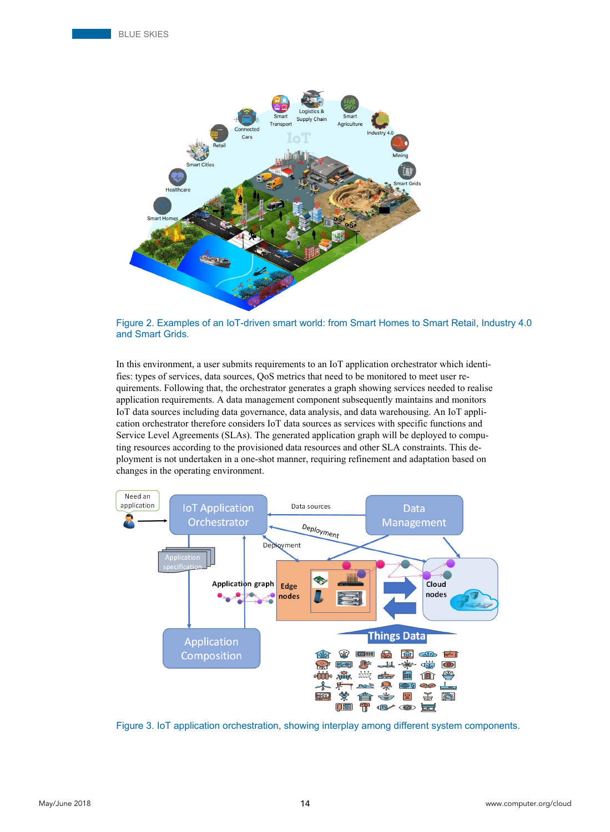

Figure 2. Examples of an IoT-driven smart world: from Smart Homes to Smart Retail, Industry 4.0 and Smart Grids.

In this environment, a user submits requirements to an IoT application orchestrator which identifies: types of services, data sources, QoS metrics that need to be monitored to meet user requirements. Following that, the orchestrator generates a graph showing services needed to realise application requirements. A data management component subsequently maintains and monitors IoT data sources including data governance, data analysis, and data warehousing. An IoT application orchestrator therefore considers IoT data sources as services with specific functions and Service Level Agreements (SLAs). The generated application graph will be deployed to computing resources according to the provisioned data resources and other SLA constraints. This deployment is not undertaken in a one-shot manner, requiring refinement and adaptation based on changes in the operating environment.



Figure 3. IoT application orchestration, showing interplay among different system components.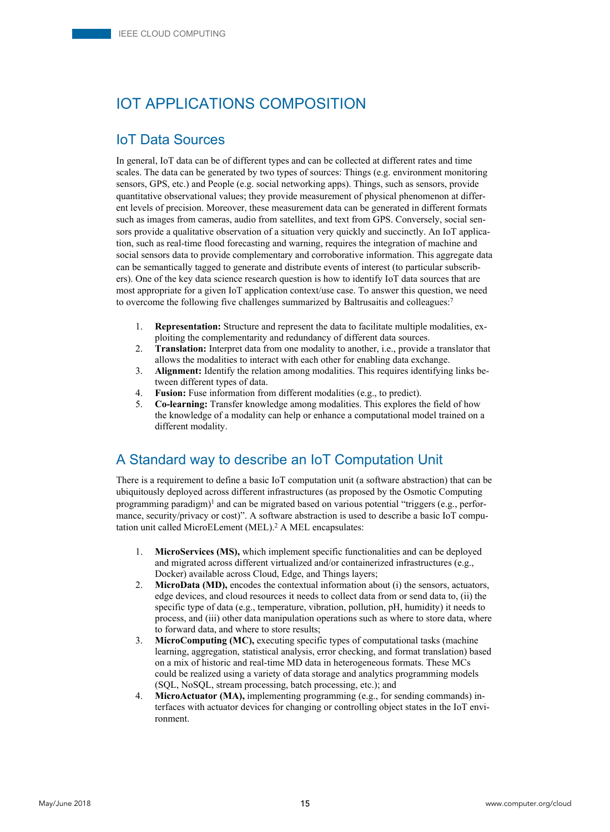## IOT APPLICATIONS COMPOSITION

#### IoT Data Sources

In general, IoT data can be of different types and can be collected at different rates and time scales. The data can be generated by two types of sources: Things (e.g. environment monitoring sensors, GPS, etc.) and People (e.g. social networking apps). Things, such as sensors, provide quantitative observational values; they provide measurement of physical phenomenon at different levels of precision. Moreover, these measurement data can be generated in different formats such as images from cameras, audio from satellites, and text from GPS. Conversely, social sensors provide a qualitative observation of a situation very quickly and succinctly. An IoT application, such as real-time flood forecasting and warning, requires the integration of machine and social sensors data to provide complementary and corroborative information. This aggregate data can be semantically tagged to generate and distribute events of interest (to particular subscribers). One of the key data science research question is how to identify IoT data sources that are most appropriate for a given IoT application context/use case. To answer this question, we need to overcome the following five challenges summarized by Baltrusaitis and colleagues:7

- 1. **Representation:** Structure and represent the data to facilitate multiple modalities, exploiting the complementarity and redundancy of different data sources.
- 2. **Translation:** Interpret data from one modality to another, i.e., provide a translator that allows the modalities to interact with each other for enabling data exchange.
- 3. **Alignment:** Identify the relation among modalities. This requires identifying links between different types of data.
- 4. **Fusion:** Fuse information from different modalities (e.g., to predict).
- 5. **Co-learning:** Transfer knowledge among modalities. This explores the field of how the knowledge of a modality can help or enhance a computational model trained on a different modality.

## A Standard way to describe an IoT Computation Unit

There is a requirement to define a basic IoT computation unit (a software abstraction) that can be ubiquitously deployed across different infrastructures (as proposed by the Osmotic Computing programming paradigm)<sup>1</sup> and can be migrated based on various potential "triggers (e.g., performance, security/privacy or cost)". A software abstraction is used to describe a basic IoT computation unit called MicroELement (MEL).<sup>2</sup> A MEL encapsulates:

- 1. **MicroServices (MS),** which implement specific functionalities and can be deployed and migrated across different virtualized and/or containerized infrastructures (e.g., Docker) available across Cloud, Edge, and Things layers;
- 2. **MicroData (MD),** encodes the contextual information about (i) the sensors, actuators, edge devices, and cloud resources it needs to collect data from or send data to, (ii) the specific type of data (e.g., temperature, vibration, pollution, pH, humidity) it needs to process, and (iii) other data manipulation operations such as where to store data, where to forward data, and where to store results;
- 3. **MicroComputing (MC),** executing specific types of computational tasks (machine learning, aggregation, statistical analysis, error checking, and format translation) based on a mix of historic and real-time MD data in heterogeneous formats. These MCs could be realized using a variety of data storage and analytics programming models (SQL, NoSQL, stream processing, batch processing, etc.); and
- 4. **MicroActuator (MA),** implementing programming (e.g., for sending commands) interfaces with actuator devices for changing or controlling object states in the IoT environment.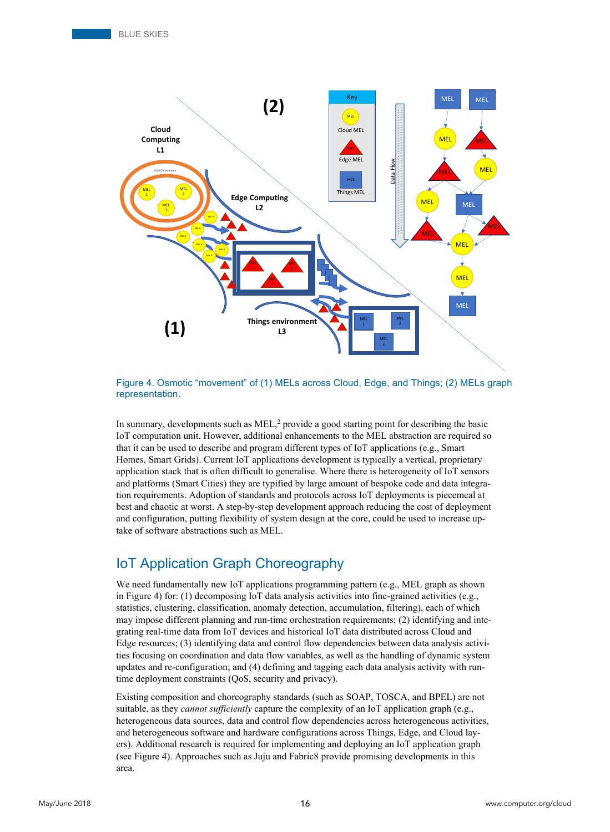



In summary, developments such as  $MEL<sub>z</sub><sup>2</sup>$  provide a good starting point for describing the basic IoT computation unit. However, additional enhancements to the MEL abstraction are required so that it can be used to describe and program different types of IoT applications (e.g., Smart Homes, Smart Grids). Current IoT applications development is typically a vertical, proprietary application stack that is often difficult to generalise. Where there is heterogeneity of IoT sensors and platforms (Smart Cities) they are typified by large amount of bespoke code and data integration requirements. Adoption of standards and protocols across IoT deployments is piecemeal at best and chaotic at worst. A step-by-step development approach reducing the cost of deployment and configuration, putting flexibility of system design at the core, could be used to increase uptake of software abstractions such as MEL.

## IoT Application Graph Choreography

We need fundamentally new IoT applications programming pattern (e.g., MEL graph as shown in Figure 4) for: (1) decomposing IoT data analysis activities into fine-grained activities (e.g., statistics, clustering, classification, anomaly detection, accumulation, filtering), each of which may impose different planning and run-time orchestration requirements; (2) identifying and integrating real-time data from IoT devices and historical IoT data distributed across Cloud and Edge resources; (3) identifying data and control flow dependencies between data analysis activities focusing on coordination and data flow variables, as well as the handling of dynamic system updates and re-configuration; and (4) defining and tagging each data analysis activity with runtime deployment constraints (QoS, security and privacy).

Existing composition and choreography standards (such as SOAP, TOSCA, and BPEL) are not suitable, as they *cannot sufficiently* capture the complexity of an IoT application graph (e.g., heterogeneous data sources, data and control flow dependencies across heterogeneous activities, and heterogeneous software and hardware configurations across Things, Edge, and Cloud layers). Additional research is required for implementing and deploying an IoT application graph (see Figure 4). Approaches such as Juju and Fabric8 provide promising developments in this area.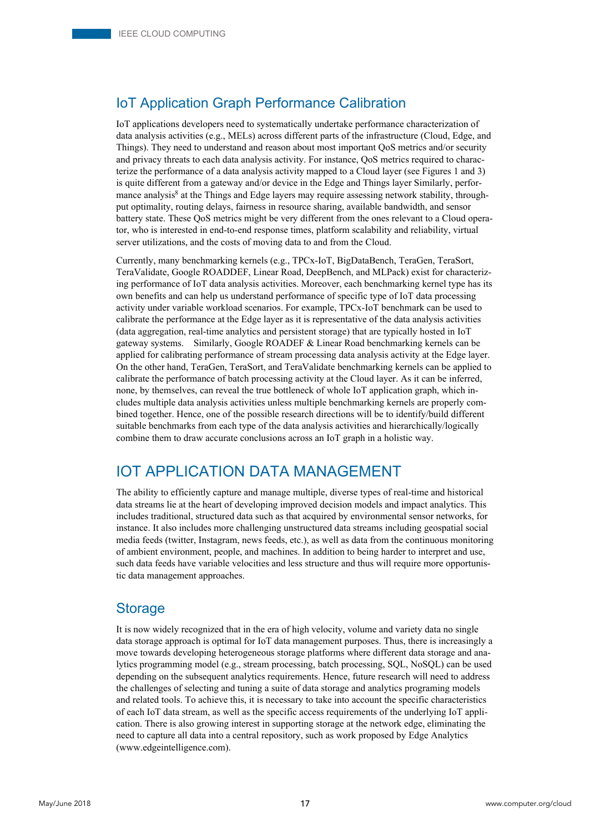## IoT Application Graph Performance Calibration

IoT applications developers need to systematically undertake performance characterization of data analysis activities (e.g., MELs) across different parts of the infrastructure (Cloud, Edge, and Things). They need to understand and reason about most important QoS metrics and/or security and privacy threats to each data analysis activity. For instance, QoS metrics required to characterize the performance of a data analysis activity mapped to a Cloud layer (see Figures 1 and 3) is quite different from a gateway and/or device in the Edge and Things layer Similarly, performance analysis<sup>8</sup> at the Things and Edge layers may require assessing network stability, throughput optimality, routing delays, fairness in resource sharing, available bandwidth, and sensor battery state. These QoS metrics might be very different from the ones relevant to a Cloud operator, who is interested in end-to-end response times, platform scalability and reliability, virtual server utilizations, and the costs of moving data to and from the Cloud.

Currently, many benchmarking kernels (e.g., TPCx-IoT, BigDataBench, TeraGen, TeraSort, TeraValidate, Google ROADDEF, Linear Road, DeepBench, and MLPack) exist for characterizing performance of IoT data analysis activities. Moreover, each benchmarking kernel type has its own benefits and can help us understand performance of specific type of IoT data processing activity under variable workload scenarios. For example, TPCx-IoT benchmark can be used to calibrate the performance at the Edge layer as it is representative of the data analysis activities (data aggregation, real-time analytics and persistent storage) that are typically hosted in IoT gateway systems. Similarly, Google ROADEF & Linear Road benchmarking kernels can be applied for calibrating performance of stream processing data analysis activity at the Edge layer. On the other hand, TeraGen, TeraSort, and TeraValidate benchmarking kernels can be applied to calibrate the performance of batch processing activity at the Cloud layer. As it can be inferred, none, by themselves, can reveal the true bottleneck of whole IoT application graph, which includes multiple data analysis activities unless multiple benchmarking kernels are properly combined together. Hence, one of the possible research directions will be to identify/build different suitable benchmarks from each type of the data analysis activities and hierarchically/logically combine them to draw accurate conclusions across an IoT graph in a holistic way.

## IOT APPLICATION DATA MANAGEMENT

The ability to efficiently capture and manage multiple, diverse types of real-time and historical data streams lie at the heart of developing improved decision models and impact analytics. This includes traditional, structured data such as that acquired by environmental sensor networks, for instance. It also includes more challenging unstructured data streams including geospatial social media feeds (twitter, Instagram, news feeds, etc.), as well as data from the continuous monitoring of ambient environment, people, and machines. In addition to being harder to interpret and use, such data feeds have variable velocities and less structure and thus will require more opportunistic data management approaches.

#### **Storage**

It is now widely recognized that in the era of high velocity, volume and variety data no single data storage approach is optimal for IoT data management purposes. Thus, there is increasingly a move towards developing heterogeneous storage platforms where different data storage and analytics programming model (e.g., stream processing, batch processing, SQL, NoSQL) can be used depending on the subsequent analytics requirements. Hence, future research will need to address the challenges of selecting and tuning a suite of data storage and analytics programing models and related tools. To achieve this, it is necessary to take into account the specific characteristics of each IoT data stream, as well as the specific access requirements of the underlying IoT application. There is also growing interest in supporting storage at the network edge, eliminating the need to capture all data into a central repository, such as work proposed by Edge Analytics (www.edgeintelligence.com).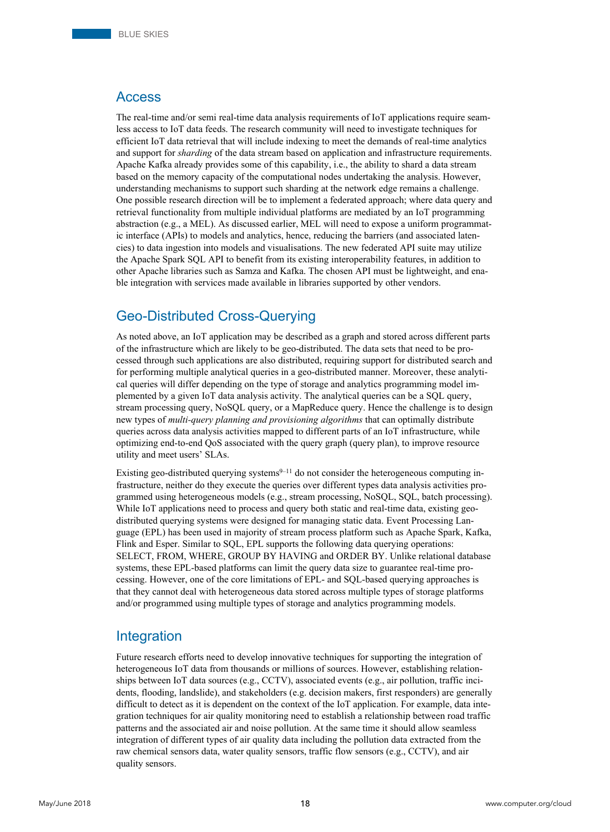#### Access

The real-time and/or semi real-time data analysis requirements of IoT applications require seamless access to IoT data feeds. The research community will need to investigate techniques for efficient IoT data retrieval that will include indexing to meet the demands of real-time analytics and support for *sharding* of the data stream based on application and infrastructure requirements. Apache Kafka already provides some of this capability, i.e., the ability to shard a data stream based on the memory capacity of the computational nodes undertaking the analysis. However, understanding mechanisms to support such sharding at the network edge remains a challenge. One possible research direction will be to implement a federated approach; where data query and retrieval functionality from multiple individual platforms are mediated by an IoT programming abstraction (e.g., a MEL). As discussed earlier, MEL will need to expose a uniform programmatic interface (APIs) to models and analytics, hence, reducing the barriers (and associated latencies) to data ingestion into models and visualisations. The new federated API suite may utilize the Apache Spark SQL API to benefit from its existing interoperability features, in addition to other Apache libraries such as Samza and Kafka. The chosen API must be lightweight, and enable integration with services made available in libraries supported by other vendors.

### Geo-Distributed Cross-Querying

As noted above, an IoT application may be described as a graph and stored across different parts of the infrastructure which are likely to be geo-distributed. The data sets that need to be processed through such applications are also distributed, requiring support for distributed search and for performing multiple analytical queries in a geo-distributed manner. Moreover, these analytical queries will differ depending on the type of storage and analytics programming model implemented by a given IoT data analysis activity. The analytical queries can be a SQL query, stream processing query, NoSQL query, or a MapReduce query. Hence the challenge is to design new types of *multi-query planning and provisioning algorithms* that can optimally distribute queries across data analysis activities mapped to different parts of an IoT infrastructure, while optimizing end-to-end QoS associated with the query graph (query plan), to improve resource utility and meet users' SLAs.

Existing geo-distributed querying systems $9-11$  do not consider the heterogeneous computing infrastructure, neither do they execute the queries over different types data analysis activities programmed using heterogeneous models (e.g., stream processing, NoSQL, SQL, batch processing). While IoT applications need to process and query both static and real-time data, existing geodistributed querying systems were designed for managing static data. Event Processing Language (EPL) has been used in majority of stream process platform such as Apache Spark, Kafka, Flink and Esper. Similar to SQL, EPL supports the following data querying operations: SELECT, FROM, WHERE, GROUP BY HAVING and ORDER BY. Unlike relational database systems, these EPL-based platforms can limit the query data size to guarantee real-time processing. However, one of the core limitations of EPL- and SQL-based querying approaches is that they cannot deal with heterogeneous data stored across multiple types of storage platforms and/or programmed using multiple types of storage and analytics programming models.

#### Integration

Future research efforts need to develop innovative techniques for supporting the integration of heterogeneous IoT data from thousands or millions of sources. However, establishing relationships between IoT data sources (e.g., CCTV), associated events (e.g., air pollution, traffic incidents, flooding, landslide), and stakeholders (e.g. decision makers, first responders) are generally difficult to detect as it is dependent on the context of the IoT application. For example, data integration techniques for air quality monitoring need to establish a relationship between road traffic patterns and the associated air and noise pollution. At the same time it should allow seamless integration of different types of air quality data including the pollution data extracted from the raw chemical sensors data, water quality sensors, traffic flow sensors (e.g., CCTV), and air quality sensors.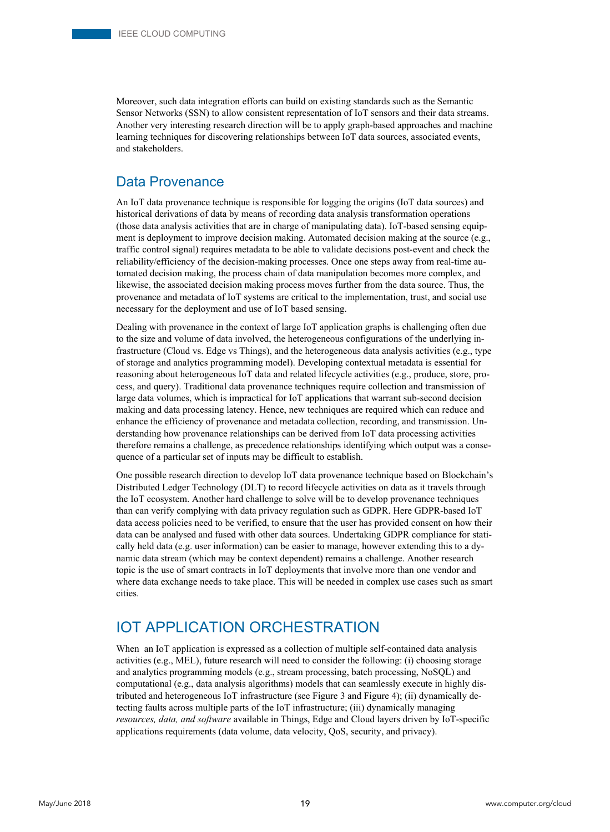Moreover, such data integration efforts can build on existing standards such as the Semantic Sensor Networks (SSN) to allow consistent representation of IoT sensors and their data streams. Another very interesting research direction will be to apply graph-based approaches and machine learning techniques for discovering relationships between IoT data sources, associated events, and stakeholders.

#### Data Provenance

An IoT data provenance technique is responsible for logging the origins (IoT data sources) and historical derivations of data by means of recording data analysis transformation operations (those data analysis activities that are in charge of manipulating data). IoT-based sensing equipment is deployment to improve decision making. Automated decision making at the source (e.g., traffic control signal) requires metadata to be able to validate decisions post-event and check the reliability/efficiency of the decision-making processes. Once one steps away from real-time automated decision making, the process chain of data manipulation becomes more complex, and likewise, the associated decision making process moves further from the data source. Thus, the provenance and metadata of IoT systems are critical to the implementation, trust, and social use necessary for the deployment and use of IoT based sensing.

Dealing with provenance in the context of large IoT application graphs is challenging often due to the size and volume of data involved, the heterogeneous configurations of the underlying infrastructure (Cloud vs. Edge vs Things), and the heterogeneous data analysis activities (e.g., type of storage and analytics programming model). Developing contextual metadata is essential for reasoning about heterogeneous IoT data and related lifecycle activities (e.g., produce, store, process, and query). Traditional data provenance techniques require collection and transmission of large data volumes, which is impractical for IoT applications that warrant sub-second decision making and data processing latency. Hence, new techniques are required which can reduce and enhance the efficiency of provenance and metadata collection, recording, and transmission. Understanding how provenance relationships can be derived from IoT data processing activities therefore remains a challenge, as precedence relationships identifying which output was a consequence of a particular set of inputs may be difficult to establish.

One possible research direction to develop IoT data provenance technique based on Blockchain's Distributed Ledger Technology (DLT) to record lifecycle activities on data as it travels through the IoT ecosystem. Another hard challenge to solve will be to develop provenance techniques than can verify complying with data privacy regulation such as GDPR. Here GDPR-based IoT data access policies need to be verified, to ensure that the user has provided consent on how their data can be analysed and fused with other data sources. Undertaking GDPR compliance for statically held data (e.g. user information) can be easier to manage, however extending this to a dynamic data stream (which may be context dependent) remains a challenge. Another research topic is the use of smart contracts in IoT deployments that involve more than one vendor and where data exchange needs to take place. This will be needed in complex use cases such as smart cities.

## IOT APPLICATION ORCHESTRATION

When an IoT application is expressed as a collection of multiple self-contained data analysis activities (e.g., MEL), future research will need to consider the following: (i) choosing storage and analytics programming models (e.g., stream processing, batch processing, NoSQL) and computational (e.g., data analysis algorithms) models that can seamlessly execute in highly distributed and heterogeneous IoT infrastructure (see Figure 3 and Figure 4); (ii) dynamically detecting faults across multiple parts of the IoT infrastructure; (iii) dynamically managing *resources, data, and software* available in Things, Edge and Cloud layers driven by IoT-specific applications requirements (data volume, data velocity, QoS, security, and privacy).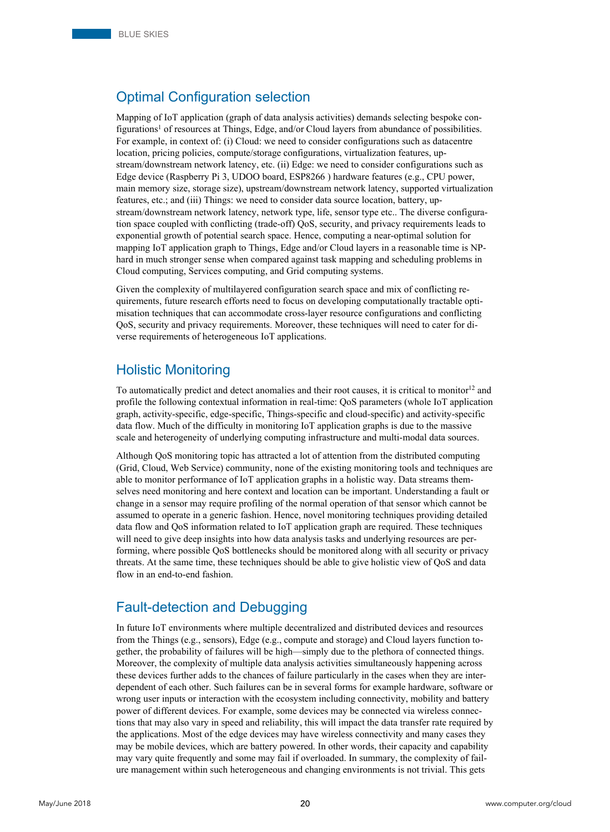## Optimal Configuration selection

Mapping of IoT application (graph of data analysis activities) demands selecting bespoke configurations<sup>1</sup> of resources at Things, Edge, and/or Cloud layers from abundance of possibilities. For example, in context of: (i) Cloud: we need to consider configurations such as datacentre location, pricing policies, compute/storage configurations, virtualization features, upstream/downstream network latency, etc. (ii) Edge: we need to consider configurations such as Edge device (Raspberry Pi 3, UDOO board, ESP8266 ) hardware features (e.g., CPU power, main memory size, storage size), upstream/downstream network latency, supported virtualization features, etc.; and (iii) Things: we need to consider data source location, battery, upstream/downstream network latency, network type, life, sensor type etc.. The diverse configuration space coupled with conflicting (trade-off) QoS, security, and privacy requirements leads to exponential growth of potential search space. Hence, computing a near-optimal solution for mapping IoT application graph to Things, Edge and/or Cloud layers in a reasonable time is NPhard in much stronger sense when compared against task mapping and scheduling problems in Cloud computing, Services computing, and Grid computing systems.

Given the complexity of multilayered configuration search space and mix of conflicting requirements, future research efforts need to focus on developing computationally tractable optimisation techniques that can accommodate cross-layer resource configurations and conflicting QoS, security and privacy requirements. Moreover, these techniques will need to cater for diverse requirements of heterogeneous IoT applications.

#### Holistic Monitoring

To automatically predict and detect anomalies and their root causes, it is critical to monitor<sup>12</sup> and profile the following contextual information in real-time: QoS parameters (whole IoT application graph, activity-specific, edge-specific, Things-specific and cloud-specific) and activity-specific data flow. Much of the difficulty in monitoring IoT application graphs is due to the massive scale and heterogeneity of underlying computing infrastructure and multi-modal data sources.

Although QoS monitoring topic has attracted a lot of attention from the distributed computing (Grid, Cloud, Web Service) community, none of the existing monitoring tools and techniques are able to monitor performance of IoT application graphs in a holistic way. Data streams themselves need monitoring and here context and location can be important. Understanding a fault or change in a sensor may require profiling of the normal operation of that sensor which cannot be assumed to operate in a generic fashion. Hence, novel monitoring techniques providing detailed data flow and QoS information related to IoT application graph are required. These techniques will need to give deep insights into how data analysis tasks and underlying resources are performing, where possible QoS bottlenecks should be monitored along with all security or privacy threats. At the same time, these techniques should be able to give holistic view of QoS and data flow in an end-to-end fashion.

## Fault-detection and Debugging

In future IoT environments where multiple decentralized and distributed devices and resources from the Things (e.g., sensors), Edge (e.g., compute and storage) and Cloud layers function together, the probability of failures will be high—simply due to the plethora of connected things. Moreover, the complexity of multiple data analysis activities simultaneously happening across these devices further adds to the chances of failure particularly in the cases when they are interdependent of each other. Such failures can be in several forms for example hardware, software or wrong user inputs or interaction with the ecosystem including connectivity, mobility and battery power of different devices. For example, some devices may be connected via wireless connections that may also vary in speed and reliability, this will impact the data transfer rate required by the applications. Most of the edge devices may have wireless connectivity and many cases they may be mobile devices, which are battery powered. In other words, their capacity and capability may vary quite frequently and some may fail if overloaded. In summary, the complexity of failure management within such heterogeneous and changing environments is not trivial. This gets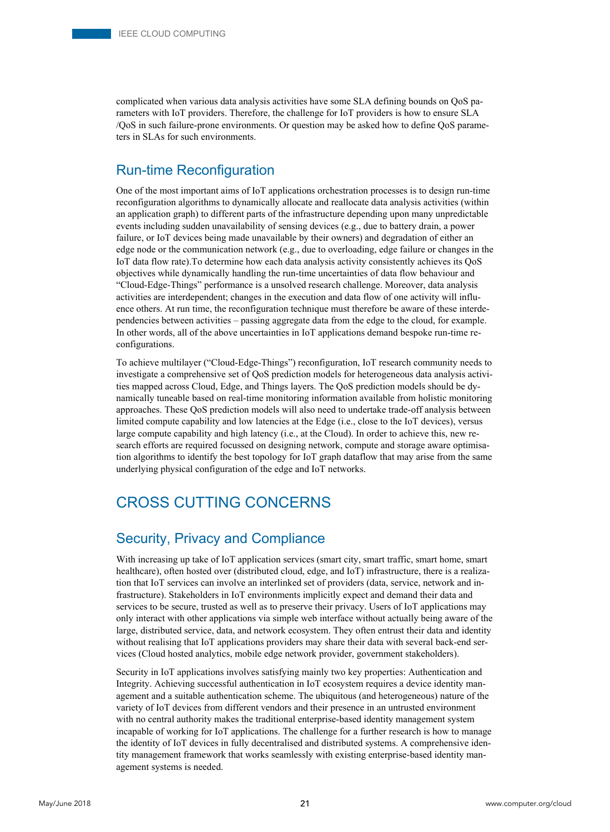complicated when various data analysis activities have some SLA defining bounds on QoS parameters with IoT providers. Therefore, the challenge for IoT providers is how to ensure SLA /QoS in such failure-prone environments. Or question may be asked how to define QoS parameters in SLAs for such environments.

## Run-time Reconfiguration

One of the most important aims of IoT applications orchestration processes is to design run-time reconfiguration algorithms to dynamically allocate and reallocate data analysis activities (within an application graph) to different parts of the infrastructure depending upon many unpredictable events including sudden unavailability of sensing devices (e.g., due to battery drain, a power failure, or IoT devices being made unavailable by their owners) and degradation of either an edge node or the communication network (e.g., due to overloading, edge failure or changes in the IoT data flow rate).To determine how each data analysis activity consistently achieves its QoS objectives while dynamically handling the run-time uncertainties of data flow behaviour and "Cloud-Edge-Things" performance is a unsolved research challenge. Moreover, data analysis activities are interdependent; changes in the execution and data flow of one activity will influence others. At run time, the reconfiguration technique must therefore be aware of these interdependencies between activities – passing aggregate data from the edge to the cloud, for example. In other words, all of the above uncertainties in IoT applications demand bespoke run-time reconfigurations.

To achieve multilayer ("Cloud-Edge-Things") reconfiguration, IoT research community needs to investigate a comprehensive set of QoS prediction models for heterogeneous data analysis activities mapped across Cloud, Edge, and Things layers. The QoS prediction models should be dynamically tuneable based on real-time monitoring information available from holistic monitoring approaches. These QoS prediction models will also need to undertake trade-off analysis between limited compute capability and low latencies at the Edge (i.e., close to the IoT devices), versus large compute capability and high latency (i.e., at the Cloud). In order to achieve this, new research efforts are required focussed on designing network, compute and storage aware optimisation algorithms to identify the best topology for IoT graph dataflow that may arise from the same underlying physical configuration of the edge and IoT networks.

# CROSS CUTTING CONCERNS

#### Security, Privacy and Compliance

With increasing up take of IoT application services (smart city, smart traffic, smart home, smart healthcare), often hosted over (distributed cloud, edge, and IoT) infrastructure, there is a realization that IoT services can involve an interlinked set of providers (data, service, network and infrastructure). Stakeholders in IoT environments implicitly expect and demand their data and services to be secure, trusted as well as to preserve their privacy. Users of IoT applications may only interact with other applications via simple web interface without actually being aware of the large, distributed service, data, and network ecosystem. They often entrust their data and identity without realising that IoT applications providers may share their data with several back-end services (Cloud hosted analytics, mobile edge network provider, government stakeholders).

Security in IoT applications involves satisfying mainly two key properties: Authentication and Integrity. Achieving successful authentication in IoT ecosystem requires a device identity management and a suitable authentication scheme. The ubiquitous (and heterogeneous) nature of the variety of IoT devices from different vendors and their presence in an untrusted environment with no central authority makes the traditional enterprise-based identity management system incapable of working for IoT applications. The challenge for a further research is how to manage the identity of IoT devices in fully decentralised and distributed systems. A comprehensive identity management framework that works seamlessly with existing enterprise-based identity management systems is needed.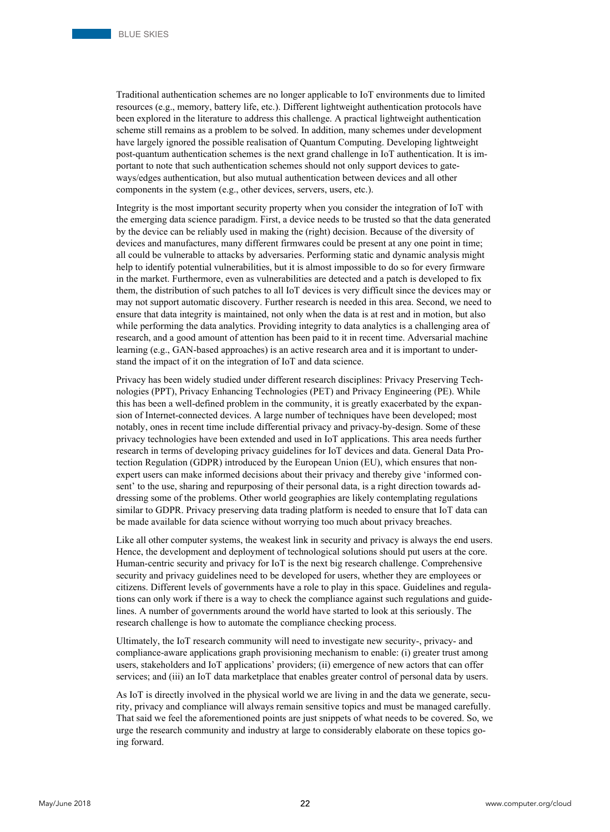Traditional authentication schemes are no longer applicable to IoT environments due to limited resources (e.g., memory, battery life, etc.). Different lightweight authentication protocols have been explored in the literature to address this challenge. A practical lightweight authentication scheme still remains as a problem to be solved. In addition, many schemes under development have largely ignored the possible realisation of Quantum Computing. Developing lightweight post-quantum authentication schemes is the next grand challenge in IoT authentication. It is important to note that such authentication schemes should not only support devices to gateways/edges authentication, but also mutual authentication between devices and all other components in the system (e.g., other devices, servers, users, etc.).

Integrity is the most important security property when you consider the integration of IoT with the emerging data science paradigm. First, a device needs to be trusted so that the data generated by the device can be reliably used in making the (right) decision. Because of the diversity of devices and manufactures, many different firmwares could be present at any one point in time; all could be vulnerable to attacks by adversaries. Performing static and dynamic analysis might help to identify potential vulnerabilities, but it is almost impossible to do so for every firmware in the market. Furthermore, even as vulnerabilities are detected and a patch is developed to fix them, the distribution of such patches to all IoT devices is very difficult since the devices may or may not support automatic discovery. Further research is needed in this area. Second, we need to ensure that data integrity is maintained, not only when the data is at rest and in motion, but also while performing the data analytics. Providing integrity to data analytics is a challenging area of research, and a good amount of attention has been paid to it in recent time. Adversarial machine learning (e.g., GAN-based approaches) is an active research area and it is important to understand the impact of it on the integration of IoT and data science.

Privacy has been widely studied under different research disciplines: Privacy Preserving Technologies (PPT), Privacy Enhancing Technologies (PET) and Privacy Engineering (PE). While this has been a well-defined problem in the community, it is greatly exacerbated by the expansion of Internet-connected devices. A large number of techniques have been developed; most notably, ones in recent time include differential privacy and privacy-by-design. Some of these privacy technologies have been extended and used in IoT applications. This area needs further research in terms of developing privacy guidelines for IoT devices and data. General Data Protection Regulation (GDPR) introduced by the European Union (EU), which ensures that nonexpert users can make informed decisions about their privacy and thereby give 'informed consent' to the use, sharing and repurposing of their personal data, is a right direction towards addressing some of the problems. Other world geographies are likely contemplating regulations similar to GDPR. Privacy preserving data trading platform is needed to ensure that IoT data can be made available for data science without worrying too much about privacy breaches.

Like all other computer systems, the weakest link in security and privacy is always the end users. Hence, the development and deployment of technological solutions should put users at the core. Human-centric security and privacy for IoT is the next big research challenge. Comprehensive security and privacy guidelines need to be developed for users, whether they are employees or citizens. Different levels of governments have a role to play in this space. Guidelines and regulations can only work if there is a way to check the compliance against such regulations and guidelines. A number of governments around the world have started to look at this seriously. The research challenge is how to automate the compliance checking process.

Ultimately, the IoT research community will need to investigate new security-, privacy- and compliance-aware applications graph provisioning mechanism to enable: (i) greater trust among users, stakeholders and IoT applications' providers; (ii) emergence of new actors that can offer services; and (iii) an IoT data marketplace that enables greater control of personal data by users.

As IoT is directly involved in the physical world we are living in and the data we generate, security, privacy and compliance will always remain sensitive topics and must be managed carefully. That said we feel the aforementioned points are just snippets of what needs to be covered. So, we urge the research community and industry at large to considerably elaborate on these topics going forward.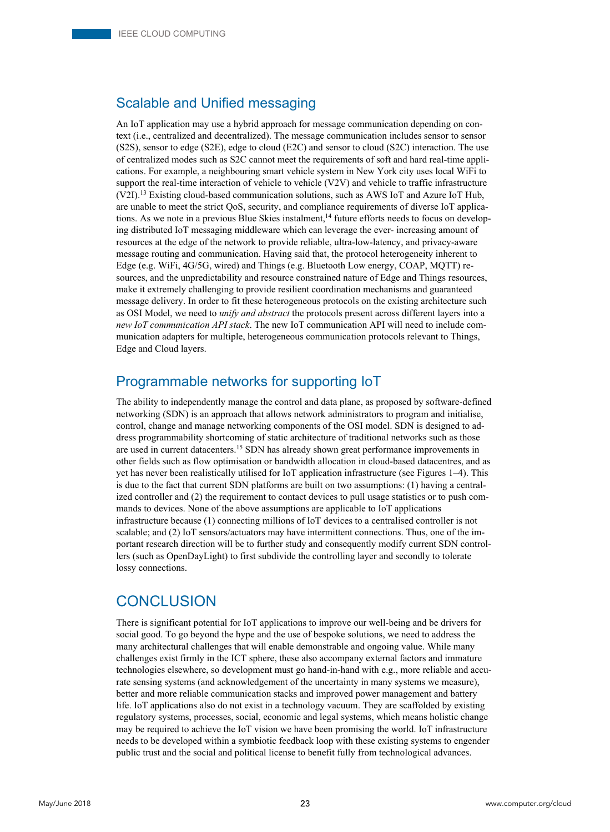#### Scalable and Unified messaging

An IoT application may use a hybrid approach for message communication depending on context (i.e., centralized and decentralized). The message communication includes sensor to sensor (S2S), sensor to edge (S2E), edge to cloud (E2C) and sensor to cloud (S2C) interaction. The use of centralized modes such as S2C cannot meet the requirements of soft and hard real-time applications. For example, a neighbouring smart vehicle system in New York city uses local WiFi to support the real-time interaction of vehicle to vehicle (V2V) and vehicle to traffic infrastructure (V2I).13 Existing cloud-based communication solutions, such as AWS IoT and Azure IoT Hub, are unable to meet the strict QoS, security, and compliance requirements of diverse IoT applications. As we note in a previous Blue Skies instalment,<sup>14</sup> future efforts needs to focus on developing distributed IoT messaging middleware which can leverage the ever- increasing amount of resources at the edge of the network to provide reliable, ultra-low-latency, and privacy-aware message routing and communication. Having said that, the protocol heterogeneity inherent to Edge (e.g. WiFi, 4G/5G, wired) and Things (e.g. Bluetooth Low energy, COAP, MQTT) resources, and the unpredictability and resource constrained nature of Edge and Things resources, make it extremely challenging to provide resilient coordination mechanisms and guaranteed message delivery. In order to fit these heterogeneous protocols on the existing architecture such as OSI Model, we need to *unify and abstract* the protocols present across different layers into a *new IoT communication API stack*. The new IoT communication API will need to include communication adapters for multiple, heterogeneous communication protocols relevant to Things, Edge and Cloud layers.

#### Programmable networks for supporting IoT

The ability to independently manage the control and data plane, as proposed by software-defined networking (SDN) is an approach that allows network administrators to program and initialise, control, change and manage networking components of the OSI model. SDN is designed to address programmability shortcoming of static architecture of traditional networks such as those are used in current datacenters.<sup>15</sup> SDN has already shown great performance improvements in other fields such as flow optimisation or bandwidth allocation in cloud-based datacentres, and as yet has never been realistically utilised for IoT application infrastructure (see Figures 1–4). This is due to the fact that current SDN platforms are built on two assumptions: (1) having a centralized controller and (2) the requirement to contact devices to pull usage statistics or to push commands to devices. None of the above assumptions are applicable to IoT applications infrastructure because (1) connecting millions of IoT devices to a centralised controller is not scalable; and (2) IoT sensors/actuators may have intermittent connections. Thus, one of the important research direction will be to further study and consequently modify current SDN controllers (such as OpenDayLight) to first subdivide the controlling layer and secondly to tolerate lossy connections.

## **CONCLUSION**

There is significant potential for IoT applications to improve our well-being and be drivers for social good. To go beyond the hype and the use of bespoke solutions, we need to address the many architectural challenges that will enable demonstrable and ongoing value. While many challenges exist firmly in the ICT sphere, these also accompany external factors and immature technologies elsewhere, so development must go hand-in-hand with e.g., more reliable and accurate sensing systems (and acknowledgement of the uncertainty in many systems we measure), better and more reliable communication stacks and improved power management and battery life. IoT applications also do not exist in a technology vacuum. They are scaffolded by existing regulatory systems, processes, social, economic and legal systems, which means holistic change may be required to achieve the IoT vision we have been promising the world. IoT infrastructure needs to be developed within a symbiotic feedback loop with these existing systems to engender public trust and the social and political license to benefit fully from technological advances.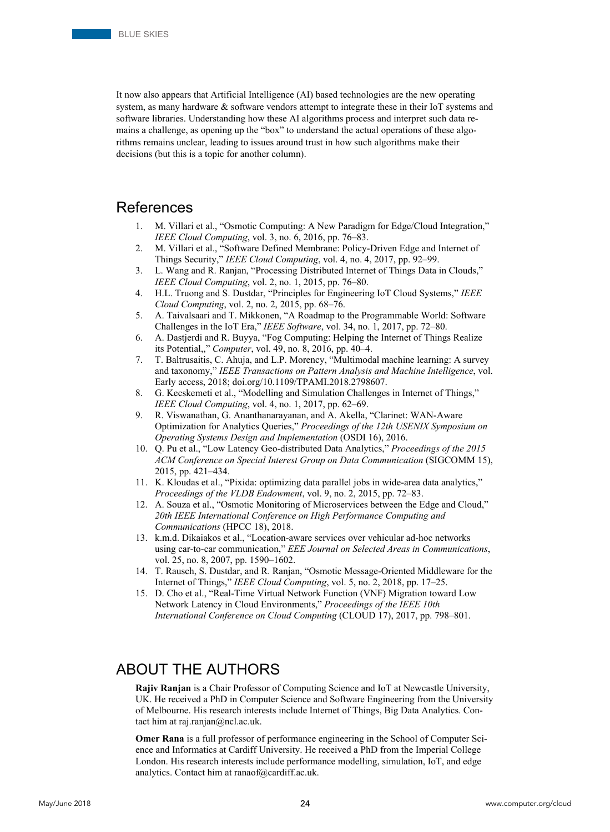It now also appears that Artificial Intelligence (AI) based technologies are the new operating system, as many hardware & software vendors attempt to integrate these in their IoT systems and software libraries. Understanding how these AI algorithms process and interpret such data remains a challenge, as opening up the "box" to understand the actual operations of these algorithms remains unclear, leading to issues around trust in how such algorithms make their decisions (but this is a topic for another column).

#### References

- 1. M. Villari et al., "Osmotic Computing: A New Paradigm for Edge/Cloud Integration," *IEEE Cloud Computing*, vol. 3, no. 6, 2016, pp. 76–83.
- 2. M. Villari et al., "Software Defined Membrane: Policy-Driven Edge and Internet of Things Security," *IEEE Cloud Computing*, vol. 4, no. 4, 2017, pp. 92–99.
- 3. L. Wang and R. Ranjan, "Processing Distributed Internet of Things Data in Clouds," *IEEE Cloud Computing*, vol. 2, no. 1, 2015, pp. 76–80.
- 4. H.L. Truong and S. Dustdar, "Principles for Engineering IoT Cloud Systems," *IEEE Cloud Computing*, vol. 2, no. 2, 2015, pp. 68–76.
- 5. A. Taivalsaari and T. Mikkonen, "A Roadmap to the Programmable World: Software Challenges in the IoT Era," *IEEE Software*, vol. 34, no. 1, 2017, pp. 72–80.
- 6. A. Dastjerdi and R. Buyya, "Fog Computing: Helping the Internet of Things Realize its Potential,," *Computer*, vol. 49, no. 8, 2016, pp. 40–4.
- 7. T. Baltrusaitis, C. Ahuja, and L.P. Morency, "Multimodal machine learning: A survey and taxonomy," *IEEE Transactions on Pattern Analysis and Machine Intelligence*, vol. Early access, 2018; doi.org/10.1109/TPAMI.2018.2798607.
- 8. G. Kecskemeti et al., "Modelling and Simulation Challenges in Internet of Things," *IEEE Cloud Computing*, vol. 4, no. 1, 2017, pp. 62–69.
- 9. R. Viswanathan, G. Ananthanarayanan, and A. Akella, "Clarinet: WAN-Aware Optimization for Analytics Queries," *Proceedings of the 12th USENIX Symposium on Operating Systems Design and Implementation* (OSDI 16), 2016.
- 10. Q. Pu et al., "Low Latency Geo-distributed Data Analytics," *Proceedings of the 2015 ACM Conference on Special Interest Group on Data Communication* (SIGCOMM 15), 2015, pp. 421–434.
- 11. K. Kloudas et al., "Pixida: optimizing data parallel jobs in wide-area data analytics," *Proceedings of the VLDB Endowment*, vol. 9, no. 2, 2015, pp. 72–83.
- 12. A. Souza et al., "Osmotic Monitoring of Microservices between the Edge and Cloud," *20th IEEE International Conference on High Performance Computing and Communications* (HPCC 18), 2018.
- 13. k.m.d. Dikaiakos et al., "Location-aware services over vehicular ad-hoc networks using car-to-car communication," *EEE Journal on Selected Areas in Communications*, vol. 25, no. 8, 2007, pp. 1590–1602.
- 14. T. Rausch, S. Dustdar, and R. Ranjan, "Osmotic Message-Oriented Middleware for the Internet of Things," *IEEE Cloud Computing*, vol. 5, no. 2, 2018, pp. 17–25.
- 15. D. Cho et al., "Real-Time Virtual Network Function (VNF) Migration toward Low Network Latency in Cloud Environments," *Proceedings of the IEEE 10th International Conference on Cloud Computing* (CLOUD 17), 2017, pp. 798–801.

## ABOUT THE AUTHORS

**Rajiv Ranjan** is a Chair Professor of Computing Science and IoT at Newcastle University, UK. He received a PhD in Computer Science and Software Engineering from the University of Melbourne. His research interests include Internet of Things, Big Data Analytics. Contact him at raj.ranjan@ncl.ac.uk.

**Omer Rana** is a full professor of performance engineering in the School of Computer Science and Informatics at Cardiff University. He received a PhD from the Imperial College London. His research interests include performance modelling, simulation, IoT, and edge analytics. Contact him at ranaof@cardiff.ac.uk.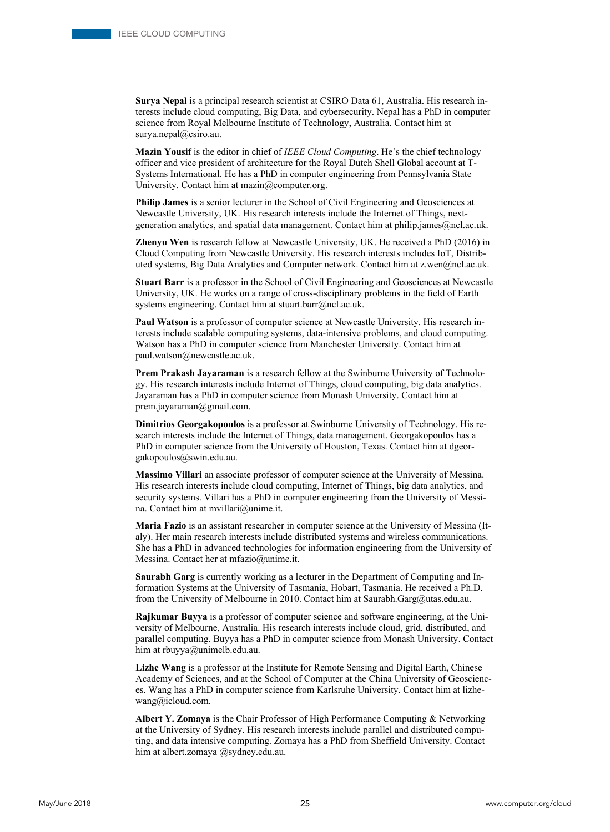**Surya Nepal** is a principal research scientist at CSIRO Data 61, Australia. His research interests include cloud computing, Big Data, and cybersecurity. Nepal has a PhD in computer science from Royal Melbourne Institute of Technology, Australia. Contact him at surya.nepal@csiro.au.

**Mazin Yousif** is the editor in chief of *IEEE Cloud Computing*. He's the chief technology officer and vice president of architecture for the Royal Dutch Shell Global account at T-Systems International. He has a PhD in computer engineering from Pennsylvania State University. Contact him at mazin@computer.org.

**Philip James** is a senior lecturer in the School of Civil Engineering and Geosciences at Newcastle University, UK. His research interests include the Internet of Things, nextgeneration analytics, and spatial data management. Contact him at philip.james@ncl.ac.uk.

**Zhenyu Wen** is research fellow at Newcastle University, UK. He received a PhD (2016) in Cloud Computing from Newcastle University. His research interests includes IoT, Distributed systems, Big Data Analytics and Computer network. Contact him at z.wen@ncl.ac.uk.

**Stuart Barr** is a professor in the School of Civil Engineering and Geosciences at Newcastle University, UK. He works on a range of cross-disciplinary problems in the field of Earth systems engineering. Contact him at stuart.barr@ncl.ac.uk.

**Paul Watson** is a professor of computer science at Newcastle University. His research interests include scalable computing systems, data-intensive problems, and cloud computing. Watson has a PhD in computer science from Manchester University. Contact him at paul.watson@newcastle.ac.uk.

**Prem Prakash Jayaraman** is a research fellow at the Swinburne University of Technology. His research interests include Internet of Things, cloud computing, big data analytics. Jayaraman has a PhD in computer science from Monash University. Contact him at prem.jayaraman@gmail.com.

**Dimitrios Georgakopoulos** is a professor at Swinburne University of Technology. His research interests include the Internet of Things, data management. Georgakopoulos has a PhD in computer science from the University of Houston, Texas. Contact him at dgeorgakopoulos@swin.edu.au.

**Massimo Villari** an associate professor of computer science at the University of Messina. His research interests include cloud computing, Internet of Things, big data analytics, and security systems. Villari has a PhD in computer engineering from the University of Messina. Contact him at mvillari@unime.it.

**Maria Fazio** is an assistant researcher in computer science at the University of Messina (Italy). Her main research interests include distributed systems and wireless communications. She has a PhD in advanced technologies for information engineering from the University of Messina. Contact her at mfazio@unime.it.

**Saurabh Garg** is currently working as a lecturer in the Department of Computing and Information Systems at the University of Tasmania, Hobart, Tasmania. He received a Ph.D. from the University of Melbourne in 2010. Contact him at Saurabh.Garg@utas.edu.au.

**Rajkumar Buyya** is a professor of computer science and software engineering, at the University of Melbourne, Australia. His research interests include cloud, grid, distributed, and parallel computing. Buyya has a PhD in computer science from Monash University. Contact him at rbuyya@unimelb.edu.au.

**Lizhe Wang** is a professor at the Institute for Remote Sensing and Digital Earth, Chinese Academy of Sciences, and at the School of Computer at the China University of Geosciences. Wang has a PhD in computer science from Karlsruhe University. Contact him at lizhewang@icloud.com.

**Albert Y. Zomaya** is the Chair Professor of High Performance Computing & Networking at the University of Sydney. His research interests include parallel and distributed computing, and data intensive computing. Zomaya has a PhD from Sheffield University. Contact him at albert.zomaya @sydney.edu.au.